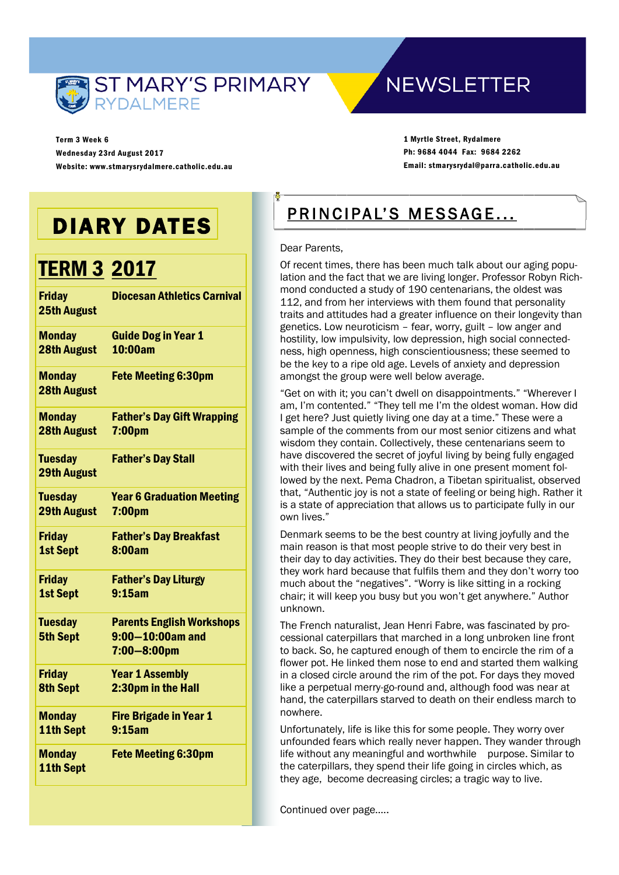

**NEWSLETTER** 

Term 3 Week 6 Wednesday 23rd August 2017 Website: www.stmarysrydalmere.catholic.edu.au

1 Myrtle Street, Rydalmere Ph: 9684 4044 Fax: 9684 2262 Email: stmarysrydal@parra.catholic.edu.au

# DIARY DATES

# TERM 3 2017

| <b>Diocesan Athletics Carnival</b>                                            |
|-------------------------------------------------------------------------------|
| <b>Guide Dog in Year 1</b><br>10:00am                                         |
| <b>Fete Meeting 6:30pm</b>                                                    |
| <b>Father's Day Gift Wrapping</b><br>7:00pm                                   |
| <b>Father's Day Stall</b>                                                     |
| <b>Year 6 Graduation Meeting</b><br>7:00pm                                    |
| <b>Father's Day Breakfast</b><br>8:00am                                       |
| <b>Father's Day Liturgy</b><br>9:15am                                         |
| <b>Parents English Workshops</b><br>$9:00 - 10:00$ am and<br>$7:00 - 8:00$ pm |
| <b>Year 1 Assembly</b><br>2:30pm in the Hall                                  |
| <b>Fire Brigade in Year 1</b><br>9:15am                                       |
| <b>Fete Meeting 6:30pm</b>                                                    |
|                                                                               |

# PRINCIPAL'S MESSAGE...

#### Dear Parents,

Of recent times, there has been much talk about our aging population and the fact that we are living longer. Professor Robyn Richmond conducted a study of 190 centenarians, the oldest was 112, and from her interviews with them found that personality traits and attitudes had a greater influence on their longevity than genetics. Low neuroticism – fear, worry, guilt – low anger and hostility, low impulsivity, low depression, high social connectedness, high openness, high conscientiousness; these seemed to be the key to a ripe old age. Levels of anxiety and depression amongst the group were well below average.

"Get on with it; you can't dwell on disappointments." "Wherever I am, I'm contented." "They tell me I'm the oldest woman. How did I get here? Just quietly living one day at a time." These were a sample of the comments from our most senior citizens and what wisdom they contain. Collectively, these centenarians seem to have discovered the secret of joyful living by being fully engaged with their lives and being fully alive in one present moment followed by the next. Pema Chadron, a Tibetan spiritualist, observed that, "Authentic joy is not a state of feeling or being high. Rather it is a state of appreciation that allows us to participate fully in our own lives."

Denmark seems to be the best country at living joyfully and the main reason is that most people strive to do their very best in their day to day activities. They do their best because they care, they work hard because that fulfils them and they don't worry too much about the "negatives". "Worry is like sitting in a rocking chair; it will keep you busy but you won't get anywhere." Author unknown.

The French naturalist, Jean Henri Fabre, was fascinated by processional caterpillars that marched in a long unbroken line front to back. So, he captured enough of them to encircle the rim of a flower pot. He linked them nose to end and started them walking in a closed circle around the rim of the pot. For days they moved like a perpetual merry-go-round and, although food was near at hand, the caterpillars starved to death on their endless march to nowhere.

Unfortunately, life is like this for some people. They worry over unfounded fears which really never happen. They wander through life without any meaningful and worthwhile purpose. Similar to the caterpillars, they spend their life going in circles which, as they age, become decreasing circles; a tragic way to live.

Continued over page…..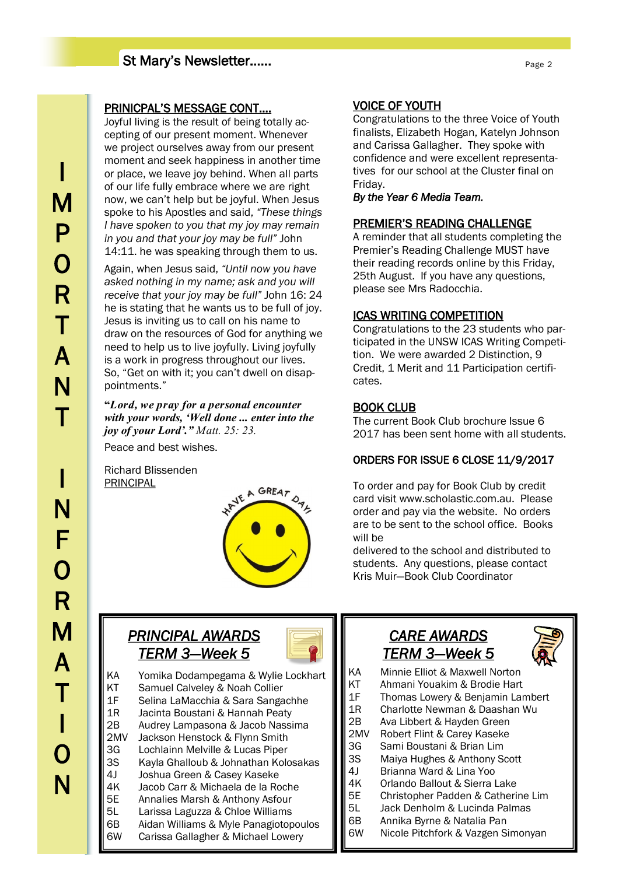# St Mary's Newsletter……

# I M P O R T A N  $\mathsf T$ I N F  $\overline{O}$ R M A T I O N

### PRINICPAL'S MESSAGE CONT….

Joyful living is the result of being totally accepting of our present moment. Whenever we project ourselves away from our present moment and seek happiness in another time or place, we leave joy behind. When all parts of our life fully embrace where we are right now, we can't help but be joyful. When Jesus spoke to his Apostles and said, *"These things I have spoken to you that my joy may remain in you and that your joy may be full"* John 14:11. he was speaking through them to us.

Again, when Jesus said, *"Until now you have asked nothing in my name; ask and you will receive that your joy may be full"* John 16: 24 he is stating that he wants us to be full of joy. Jesus is inviting us to call on his name to draw on the resources of God for anything we need to help us to live joyfully. Living joyfully is a work in progress throughout our lives. So, "Get on with it; you can't dwell on disappointments."

**"***Lord, we pray for a personal encounter with your words, 'Well done ... enter into the joy of your Lord'." Matt. 25: 23.* Peace and best wishes.

Richard Blissenden

**PRINCIPAL** 



# *PRINCIPAL AWARDS TERM 3—Week 5*



KA Yomika Dodampegama & Wylie Lockhart KT Samuel Calveley & Noah Collier 1F Selina LaMacchia & Sara Sangachhe 1R Jacinta Boustani & Hannah Peaty 2B Audrey Lampasona & Jacob Nassima 2MV Jackson Henstock & Flynn Smith 3G Lochlainn Melville & Lucas Piper 3S Kayla Ghalloub & Johnathan Kolosakas 4J Joshua Green & Casey Kaseke 4K Jacob Carr & Michaela de la Roche 5E Annalies Marsh & Anthony Asfour 5L Larissa Laguzza & Chloe Williams 6B Aidan Williams & Myle Panagiotopoulos<br>6W Carissa Gallagher & Michael Lowery Carissa Gallagher & Michael Lowery

# VOICE OF YOUTH

Congratulations to the three Voice of Youth finalists, Elizabeth Hogan, Katelyn Johnson and Carissa Gallagher. They spoke with confidence and were excellent representatives for our school at the Cluster final on Friday.

*By the Year 6 Media Team.* 

# PREMIER'S READING CHALLENGE

A reminder that all students completing the Premier's Reading Challenge MUST have their reading records online by this Friday, 25th August. If you have any questions, please see Mrs Radocchia.

# ICAS WRITING COMPETITION

Congratulations to the 23 students who participated in the UNSW ICAS Writing Competition. We were awarded 2 Distinction, 9 Credit, 1 Merit and 11 Participation certificates.

# BOOK CLUB

The current Book Club brochure Issue 6 2017 has been sent home with all students.

# ORDERS FOR ISSUE 6 CLOSE 11/9/2017

To order and pay for Book Club by credit card visit www.scholastic.com.au. Please order and pay via the website. No orders are to be sent to the school office. Books will be

delivered to the school and distributed to students. Any questions, please contact Kris Muir—Book Club Coordinator

# *CARE AWARDS TERM 3—Week 5*



- KA Minnie Elliot & Maxwell Norton
- KT Ahmani Youakim & Brodie Hart
- 1F Thomas Lowery & Benjamin Lambert
- 1R Charlotte Newman & Daashan Wu
- 2B Ava Libbert & Hayden Green<br>2MV Robert Flint & Carev Kaseke
- Robert Flint & Carey Kaseke 3G Sami Boustani & Brian Lim
- 3S Maiya Hughes & Anthony Scott
- 4J Brianna Ward & Lina Yoo
- 4K Orlando Ballout & Sierra Lake
- 5E Christopher Padden & Catherine Lim
- 5L Jack Denholm & Lucinda Palmas
- 6B Annika Byrne & Natalia Pan
- 6W Nicole Pitchfork & Vazgen Simonyan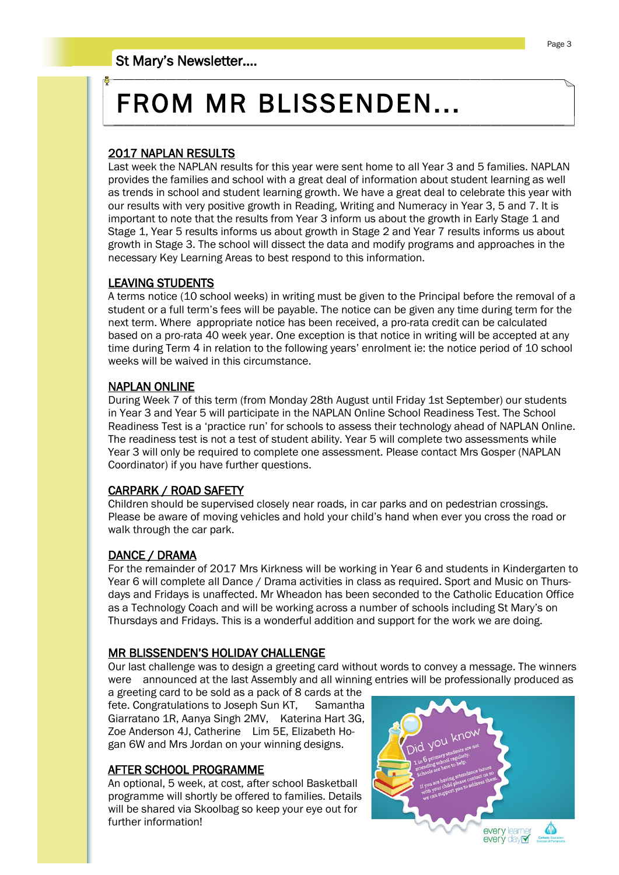# FROM MR BLISSENDEN...

# 2017 NAPLAN RESULTS

Last week the NAPLAN results for this year were sent home to all Year 3 and 5 families. NAPLAN provides the families and school with a great deal of information about student learning as well as trends in school and student learning growth. We have a great deal to celebrate this year with our results with very positive growth in Reading, Writing and Numeracy in Year 3, 5 and 7. It is important to note that the results from Year 3 inform us about the growth in Early Stage 1 and Stage 1, Year 5 results informs us about growth in Stage 2 and Year 7 results informs us about growth in Stage 3. The school will dissect the data and modify programs and approaches in the necessary Key Learning Areas to best respond to this information.

## LEAVING STUDENTS

A terms notice (10 school weeks) in writing must be given to the Principal before the removal of a student or a full term's fees will be payable. The notice can be given any time during term for the next term. Where appropriate notice has been received, a pro-rata credit can be calculated based on a pro-rata 40 week year. One exception is that notice in writing will be accepted at any time during Term 4 in relation to the following years' enrolment ie: the notice period of 10 school weeks will be waived in this circumstance.

#### NAPLAN ONLINE

During Week 7 of this term (from Monday 28th August until Friday 1st September) our students in Year 3 and Year 5 will participate in the NAPLAN Online School Readiness Test. The School Readiness Test is a 'practice run' for schools to assess their technology ahead of NAPLAN Online. The readiness test is not a test of student ability. Year 5 will complete two assessments while Year 3 will only be required to complete one assessment. Please contact Mrs Gosper (NAPLAN Coordinator) if you have further questions.

## CARPARK / ROAD SAFETY

Children should be supervised closely near roads, in car parks and on pedestrian crossings. Please be aware of moving vehicles and hold your child's hand when ever you cross the road or walk through the car park.

## DANCE / DRAMA

For the remainder of 2017 Mrs Kirkness will be working in Year 6 and students in Kindergarten to Year 6 will complete all Dance / Drama activities in class as required. Sport and Music on Thursdays and Fridays is unaffected. Mr Wheadon has been seconded to the Catholic Education Office as a Technology Coach and will be working across a number of schools including St Mary's on Thursdays and Fridays. This is a wonderful addition and support for the work we are doing.

#### MR BLISSENDEN'S HOLIDAY CHALLENGE

Our last challenge was to design a greeting card without words to convey a message. The winners were announced at the last Assembly and all winning entries will be professionally produced as

a greeting card to be sold as a pack of 8 cards at the fete. Congratulations to Joseph Sun KT, Samantha Giarratano 1R, Aanya Singh 2MV, Katerina Hart 3G, Zoe Anderson 4J, Catherine Lim 5E, Elizabeth Hogan 6W and Mrs Jordan on your winning designs.

## AFTER SCHOOL PROGRAMME

An optional, 5 week, at cost, after school Basketball programme will shortly be offered to families. Details will be shared via Skoolbag so keep your eye out for further information!